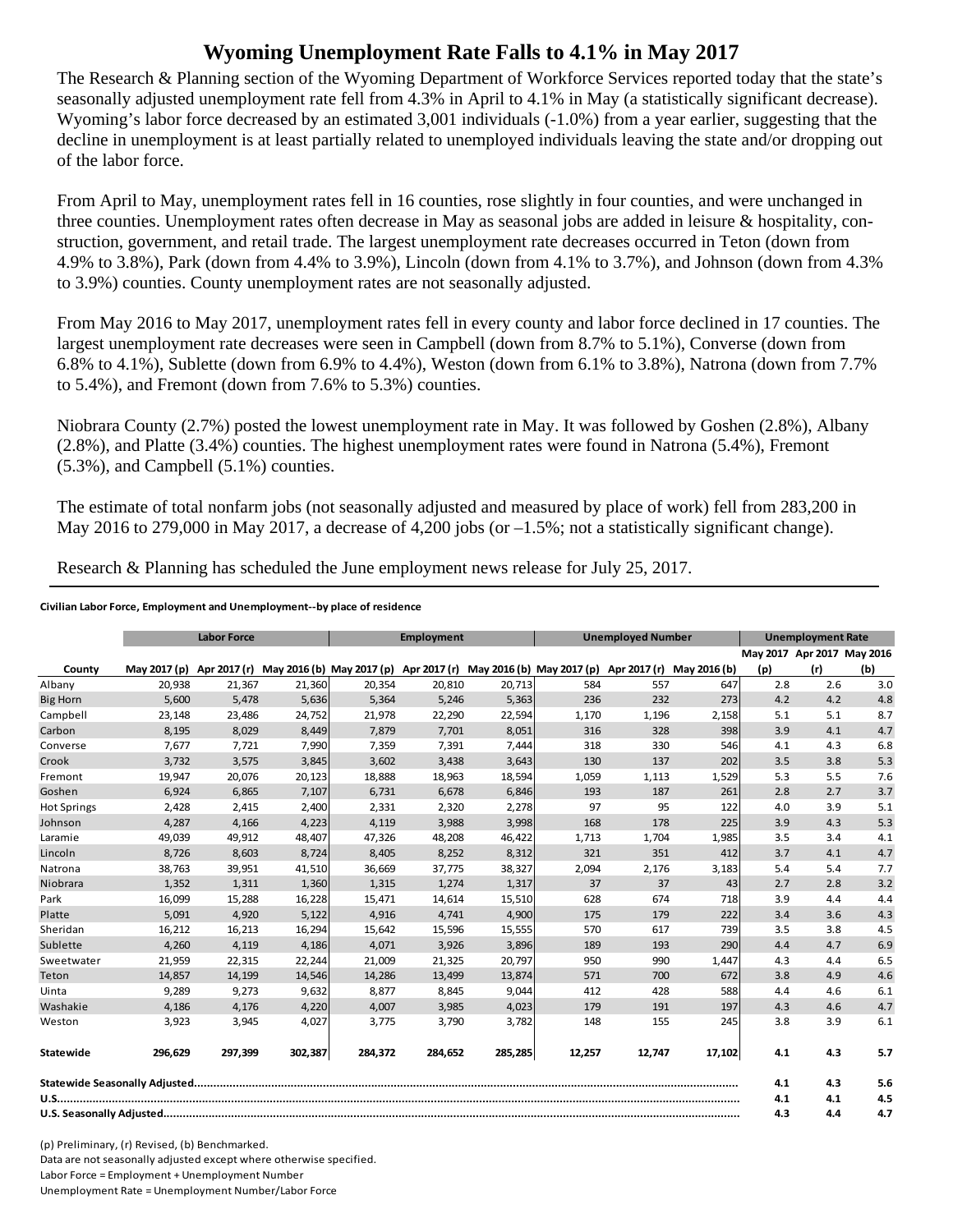## **Wyoming Unemployment Rate Falls to 4.1% in May 2017**

The Research & Planning section of the Wyoming Department of Workforce Services reported today that the state's seasonally adjusted unemployment rate fell from 4.3% in April to 4.1% in May (a statistically significant decrease). Wyoming's labor force decreased by an estimated 3,001 individuals (-1.0%) from a year earlier, suggesting that the decline in unemployment is at least partially related to unemployed individuals leaving the state and/or dropping out of the labor force.

From April to May, unemployment rates fell in 16 counties, rose slightly in four counties, and were unchanged in three counties. Unemployment rates often decrease in May as seasonal jobs are added in leisure & hospitality, construction, government, and retail trade. The largest unemployment rate decreases occurred in Teton (down from 4.9% to 3.8%), Park (down from 4.4% to 3.9%), Lincoln (down from 4.1% to 3.7%), and Johnson (down from 4.3% to 3.9%) counties. County unemployment rates are not seasonally adjusted.

From May 2016 to May 2017, unemployment rates fell in every county and labor force declined in 17 counties. The largest unemployment rate decreases were seen in Campbell (down from 8.7% to 5.1%), Converse (down from 6.8% to 4.1%), Sublette (down from 6.9% to 4.4%), Weston (down from 6.1% to 3.8%), Natrona (down from 7.7% to 5.4%), and Fremont (down from 7.6% to 5.3%) counties.

Niobrara County (2.7%) posted the lowest unemployment rate in May. It was followed by Goshen (2.8%), Albany (2.8%), and Platte (3.4%) counties. The highest unemployment rates were found in Natrona (5.4%), Fremont (5.3%), and Campbell (5.1%) counties.

The estimate of total nonfarm jobs (not seasonally adjusted and measured by place of work) fell from 283,200 in May 2016 to 279,000 in May 2017, a decrease of 4,200 jobs (or  $-1.5\%$ ; not a statistically significant change).

Research & Planning has scheduled the June employment news release for July 25, 2017.

## **Civilian Labor Force, Employment and Unemployment‐‐by place of residence**

|                    |              | <b>Labor Force</b> |         |                                                                                            | Employment |         |        | <b>Unemployed Number</b> |        |     | <b>Unemployment Rate</b> |                            |  |
|--------------------|--------------|--------------------|---------|--------------------------------------------------------------------------------------------|------------|---------|--------|--------------------------|--------|-----|--------------------------|----------------------------|--|
|                    |              |                    |         |                                                                                            |            |         |        |                          |        |     |                          | May 2017 Apr 2017 May 2016 |  |
| County             | May 2017 (p) | Apr 2017 (r)       |         | May 2016 (b) May 2017 (p) Apr 2017 (r) May 2016 (b) May 2017 (p) Apr 2017 (r) May 2016 (b) |            |         |        |                          |        | (p) | (r)                      | (b)                        |  |
| Albany             | 20,938       | 21,367             | 21,360  | 20,354                                                                                     | 20,810     | 20,713  | 584    | 557                      | 647    | 2.8 | 2.6                      | 3.0                        |  |
| <b>Big Horn</b>    | 5,600        | 5,478              | 5,636   | 5,364                                                                                      | 5,246      | 5,363   | 236    | 232                      | 273    | 4.2 | 4.2                      | 4.8                        |  |
| Campbell           | 23,148       | 23,486             | 24,752  | 21,978                                                                                     | 22,290     | 22,594  | 1,170  | 1,196                    | 2,158  | 5.1 | 5.1                      | 8.7                        |  |
| Carbon             | 8.195        | 8.029              | 8,449   | 7.879                                                                                      | 7.701      | 8,051   | 316    | 328                      | 398    | 3.9 | 4.1                      | 4.7                        |  |
| Converse           | 7,677        | 7,721              | 7,990   | 7,359                                                                                      | 7,391      | 7,444   | 318    | 330                      | 546    | 4.1 | 4.3                      | 6.8                        |  |
| Crook              | 3,732        | 3,575              | 3,845   | 3,602                                                                                      | 3,438      | 3,643   | 130    | 137                      | 202    | 3.5 | 3.8                      | 5.3                        |  |
| Fremont            | 19,947       | 20,076             | 20,123  | 18,888                                                                                     | 18,963     | 18,594  | 1,059  | 1,113                    | 1,529  | 5.3 | 5.5                      | 7.6                        |  |
| Goshen             | 6,924        | 6,865              | 7,107   | 6,731                                                                                      | 6,678      | 6,846   | 193    | 187                      | 261    | 2.8 | 2.7                      | 3.7                        |  |
| <b>Hot Springs</b> | 2,428        | 2,415              | 2,400   | 2,331                                                                                      | 2,320      | 2,278   | 97     | 95                       | 122    | 4.0 | 3.9                      | 5.1                        |  |
| Johnson            | 4,287        | 4,166              | 4,223   | 4,119                                                                                      | 3,988      | 3,998   | 168    | 178                      | 225    | 3.9 | 4.3                      | 5.3                        |  |
| Laramie            | 49,039       | 49,912             | 48,407  | 47,326                                                                                     | 48,208     | 46,422  | 1,713  | 1,704                    | 1,985  | 3.5 | 3.4                      | 4.1                        |  |
| Lincoln            | 8.726        | 8,603              | 8,724   | 8,405                                                                                      | 8,252      | 8,312   | 321    | 351                      | 412    | 3.7 | 4.1                      | 4.7                        |  |
| Natrona            | 38,763       | 39,951             | 41,510  | 36,669                                                                                     | 37,775     | 38,327  | 2,094  | 2,176                    | 3,183  | 5.4 | 5.4                      | 7.7                        |  |
| Niobrara           | 1,352        | 1,311              | 1,360   | 1,315                                                                                      | 1,274      | 1,317   | 37     | 37                       | 43     | 2.7 | 2.8                      | 3.2                        |  |
| Park               | 16,099       | 15,288             | 16,228  | 15,471                                                                                     | 14,614     | 15,510  | 628    | 674                      | 718    | 3.9 | 4.4                      | 4.4                        |  |
| Platte             | 5,091        | 4,920              | 5,122   | 4,916                                                                                      | 4,741      | 4,900   | 175    | 179                      | 222    | 3.4 | 3.6                      | 4.3                        |  |
| Sheridan           | 16,212       | 16,213             | 16,294  | 15,642                                                                                     | 15,596     | 15,555  | 570    | 617                      | 739    | 3.5 | 3.8                      | 4.5                        |  |
| Sublette           | 4,260        | 4,119              | 4,186   | 4,071                                                                                      | 3,926      | 3,896   | 189    | 193                      | 290    | 4.4 | 4.7                      | 6.9                        |  |
| Sweetwater         | 21,959       | 22,315             | 22,244  | 21,009                                                                                     | 21,325     | 20,797  | 950    | 990                      | 1,447  | 4.3 | 4.4                      | 6.5                        |  |
| Teton              | 14,857       | 14,199             | 14,546  | 14,286                                                                                     | 13,499     | 13,874  | 571    | 700                      | 672    | 3.8 | 4.9                      | 4.6                        |  |
| Uinta              | 9,289        | 9,273              | 9,632   | 8,877                                                                                      | 8,845      | 9,044   | 412    | 428                      | 588    | 4.4 | 4.6                      | 6.1                        |  |
| Washakie           | 4.186        | 4.176              | 4,220   | 4.007                                                                                      | 3,985      | 4,023   | 179    | 191                      | 197    | 4.3 | 4.6                      | 4.7                        |  |
| Weston             | 3,923        | 3,945              | 4,027   | 3,775                                                                                      | 3,790      | 3,782   | 148    | 155                      | 245    | 3.8 | 3.9                      | 6.1                        |  |
| <b>Statewide</b>   | 296.629      | 297.399            | 302,387 | 284,372                                                                                    | 284.652    | 285,285 | 12,257 | 12.747                   | 17,102 | 4.1 | 4.3                      | 5.7                        |  |
|                    |              |                    |         |                                                                                            |            |         |        |                          |        | 4.1 | 4.3                      | 5.6                        |  |
|                    |              |                    |         |                                                                                            |            |         |        |                          | 4.1    | 4.1 | 4.5                      |                            |  |
|                    |              |                    |         |                                                                                            |            |         |        | 4.3                      | 4.4    | 4.7 |                          |                            |  |

(p) Preliminary, (r) Revised, (b) Benchmarked. Data are not seasonally adjusted except where otherwise specified. Labor Force = Employment + Unemployment Number Unemployment Rate = Unemployment Number/Labor Force